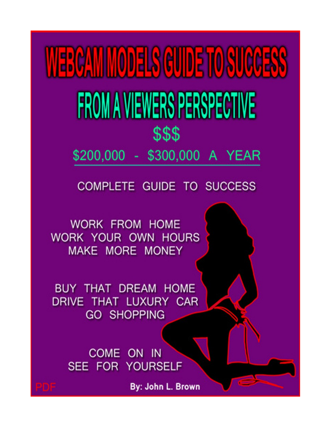**NERCAMINODELS GUIDE TO SUCCESS** FROM A VIEWERS PERSPECTIVE \$\$\$

\$200,000 - \$300,000 A YEAR

## **COMPLETE GUIDE TO SUCCESS**

**WORK FROM HOME** WORK YOUR OWN HOURS MAKE MORE MONEY

**BUY THAT DREAM HOME** DRIVE THAT LUXURY CAR **GO SHOPPING** 

> COME ON IN SEE FOR YOURSELF

> > By: John L. Brown

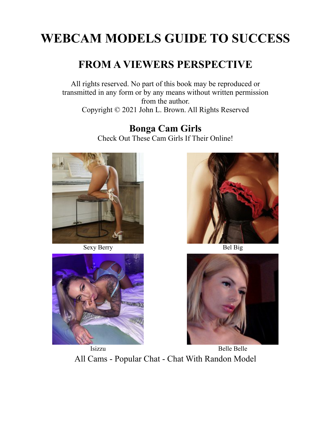## **WEBCAM MODELS GUIDE TO SUCCESS**

## **FROM A VIEWERS PERSPECTIVE**

All rights reserved. No part of this book may be reproduced or transmitted in any form or by any means without written permission from the author. Copyright © 2021 John L. Brown. All Rights Reserved

> **Bonga Cam Girls** Check Out These Cam Girls If Their Online!



Sexy Berry Bel Big







Isizzu Belle Belle [All Cams](https://bongacams10.com/track?v=2&c=359897) - [Popular Chat](https://bcprm.com/promo.php?type=direct_link&v=2&c=359897&page=popular_chat&g=female) - [Chat With Randon Model](https://bcprm.com/promo.php?type=direct_link&v=2&c=359897&page=random_model&g=female)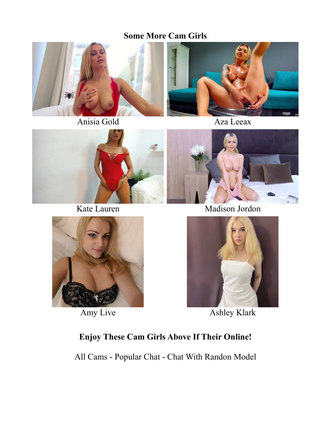#### **Some More Cam Girls**













Amy Live Ashley Klark

## **Enjoy These Cam Girls Above If Their Online!**

[All Cams](https://bongacams10.com/track?v=2&c=359897) - [Popular Chat](https://bcprm.com/promo.php?type=direct_link&v=2&c=359897&page=popular_chat&g=female) - [Chat With Randon Model](https://bcprm.com/promo.php?type=direct_link&v=2&c=359897&page=random_model&g=female)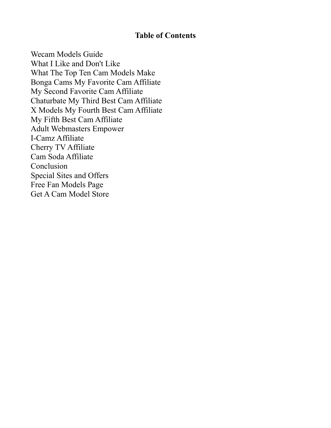#### **Table of Contents**

[Wecam Models Guide](#page-4-0) [What I Like and Don't Like](#page-6-0) [What The Top Ten Cam Models Make](#page-14-0) [Bonga Cams My Favorite Cam Affiliate](#page-18-0) [My Second Favorite Cam Affiliate](#page-24-0) [Chaturbate My Third Best Cam Affiliate](#page-27-0) [X Models My Fourth Best Cam Affiliate](#page-29-0) [My Fifth Best Cam Affiliate](#page-30-0) [Adult Webmasters Empower](#page-33-0) [I-Camz Affiliate](#page-34-0) [Cherry TV Affiliate](#page-36-0) [Cam Soda Affiliate](#page-37-0) [Conclusion](#page-38-0) [Special Sites and Offers](#page-39-0) [Free Fan Models Page](#page-41-0) [Get A Cam Model Store](#page-43-0)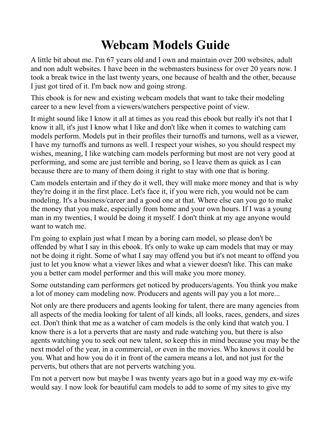## <span id="page-4-0"></span>**Webcam Models Guide**

A little bit about me. I'm 67 years old and I own and maintain over 200 websites, adult and non adult websites. I have been in the webmasters business for over 20 years now. I took a break twice in the last twenty years, one because of health and the other, because I just got tired of it. I'm back now and going strong.

This ebook is for new and existing webcam models that want to take their modeling career to a new level from a viewers/watchers perspective point of view.

It might sound like I know it all at times as you read this ebook but really it's not that I know it all, it's just I know what I like and don't like when it comes to watching cam models perform. Models put in their profiles their turnoffs and turnons, well as a viewer, I have my turnoffs and turnons as well. I respect your wishes, so you should respect my wishes, meaning, I like watching cam models performing but most are not very good at performing, and some are just terrible and boring, so I leave them as quick as I can because there are to many of them doing it right to stay with one that is boring.

Cam models entertain and if they do it well, they will make more money and that is why they're doing it in the first place. Let's face it, if you were rich, you would not be cam modeling. It's a business/career and a good one at that. Where else can you go to make the money that you make, especially from home and your own hours. If I was a young man in my twenties, I would be doing it myself. I don't think at my age anyone would want to watch me.

I'm going to explain just what I mean by a boring cam model, so please don't be offended by what I say in this ebook. It's only to wake up cam models that may or may not be doing it right. Some of what I say may offend you but it's not meant to offend you just to let you know what a viewer likes and what a viewer doesn't like. This can make you a better cam model performer and this will make you more money.

Some outstanding cam performers get noticed by producers/agents. You think you make a lot of money cam modeling now. Producers and agents will pay you a lot more...

Not only are there producers and agents looking for talent, there are many agencies from all aspects of the media looking for talent of all kinds, all looks, races, genders, and sizes ect. Don't think that me as a watcher of cam models is the only kind that watch you. I know there is a lot a perverts that are nasty and rude watching you, but there is also agents watching you to seek out new talent, so keep this in mind because you may be the next model of the year, in a commercial, or even in the movies. Who knows it could be you. What and how you do it in front of the camera means a lot, and not just for the perverts, but others that are not perverts watching you.

I'm not a pervert now but maybe I was twenty years ago but in a good way my ex-wife would say. I now look for beautiful cam models to add to some of my sites to give my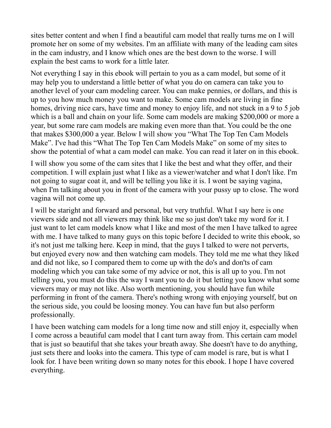sites better content and when I find a beautiful cam model that really turns me on I will promote her on some of my websites. I'm an affiliate with many of the leading cam sites in the cam industry, and I know which ones are the best down to the worse. I will explain the best cams to work for a little later.

Not everything I say in this ebook will pertain to you as a cam model, but some of it may help you to understand a little better of what you do on camera can take you to another level of your cam modeling career. You can make pennies, or dollars, and this is up to you how much money you want to make. Some cam models are living in fine homes, driving nice cars, have time and money to enjoy life, and not stuck in a 9 to 5 job which is a ball and chain on your life. Some cam models are making \$200,000 or more a year, but some rare cam models are making even more than that. You could be the one that makes \$300,000 a year. Below I will show you "What The Top Ten Cam Models Make". I've had this "What The Top Ten Cam Models Make" on some of my sites to show the potential of what a cam model can make. You can read it later on in this ebook.

I will show you some of the cam sites that I like the best and what they offer, and their competition. I will explain just what I like as a viewer/watcher and what I don't like. I'm not going to sugar coat it, and will be telling you like it is. I wont be saying vagina, when I'm talking about you in front of the camera with your pussy up to close. The word vagina will not come up.

I will be staright and forward and personal, but very truthful. What I say here is one viewers side and not all viewers may think like me so just don't take my word for it. I just want to let cam models know what I like and most of the men I have talked to agree with me. I have talked to many guys on this topic before I decided to write this ebook, so it's not just me talking here. Keep in mind, that the guys I talked to were not perverts, but enjoyed every now and then watching cam models. They told me me what they liked and did not like, so I compared them to come up with the do's and don'ts of cam modeling which you can take some of my advice or not, this is all up to you. I'm not telling you, you must do this the way I want you to do it but letting you know what some viewers may or may not like. Also worth mentioning, you should have fun while performing in front of the camera. There's nothing wrong with enjoying yourself, but on the serious side, you could be loosing money. You can have fun but also perform professionally.

I have been watching cam models for a long time now and still enjoy it, especially when I come across a beautiful cam model that I cant turn away from. This certain cam model that is just so beautiful that she takes your breath away. She doesn't have to do anything, just sets there and looks into the camera. This type of cam model is rare, but is what I look for. I have been writing down so many notes for this ebook. I hope I have covered everything.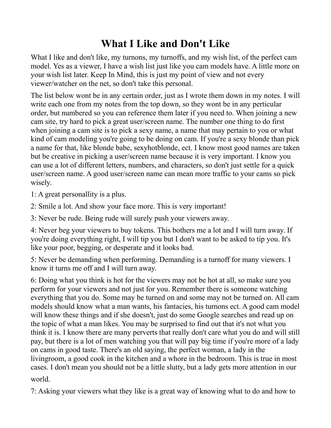## <span id="page-6-0"></span>**What I Like and Don't Like**

What I like and don't like, my turnons, my turnoffs, and my wish list, of the perfect cam model. Yes as a viewer, I have a wish list just like you cam models have. A little more on your wish list later. Keep In Mind, this is just my point of view and not every viewer/watcher on the net, so don't take this personal.

The list below wont be in any certain order, just as I wrote them down in my notes. I will write each one from my notes from the top down, so they wont be in any perticular order, but numbered so you can reference them later if you need to. When joining a new cam site, try hard to pick a great user/screen name. The number one thing to do first when joining a cam site is to pick a sexy name, a name that may pertain to you or what kind of cam modeling you're going to be doing on cam. If you're a sexy blonde than pick a name for that, like blonde babe, sexyhotblonde, ect. I know most good names are taken but be creative in picking a user/screen name because it is very important. I know you can use a lot of different letters, numbers, and characters, so don't just settle for a quick user/screen name. A good user/screen name can mean more traffic to your cams so pick wisely.

1: A great personallity is a plus.

2: Smile a lot. And show your face more. This is very important!

3: Never be rude. Being rude will surely push your viewers away.

4: Never beg your viewers to buy tokens. This bothers me a lot and I will turn away. If you're doing everything right, I will tip you but I don't want to be asked to tip you. It's like your poor, begging, or desperate and it looks bad.

5: Never be demanding when performing. Demanding is a turnoff for many viewers. I know it turns me off and I will turn away.

6: Doing what you think is hot for the viewers may not be hot at all, so make sure you perform for your viewers and not just for you. Remember there is someone watching everything that you do. Some may be turned on and some may not be turned on. All cam models should know what a man wants, his fantacies, his turnons ect. A good cam model will know these things and if she doesn't, just do some Google searches and read up on the topic of what a man likes. You may be surprised to find out that it's not what you think it is. I know there are many perverts that really don't care what you do and will still pay, but there is a lot of men watching you that will pay big time if you're more of a lady on cams in good taste. There's an old saying, the perfect woman, a lady in the livingroom, a good cook in the kitchen and a whore in the bedroom. This is true in most cases. I don't mean you should not be a little slutty, but a lady gets more attention in our world.

7: Asking your viewers what they like is a great way of knowing what to do and how to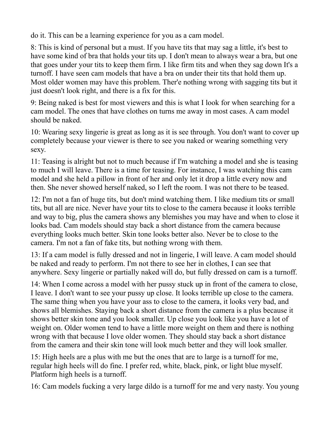do it. This can be a learning experience for you as a cam model.

8: This is kind of personal but a must. If you have tits that may sag a little, it's best to have some kind of bra that holds your tits up. I don't mean to always wear a bra, but one that goes under your tits to keep them firm. I like firm tits and when they sag down It's a turnoff. I have seen cam models that have a bra on under their tits that hold them up. Most older women may have this problem. Ther'e nothing wrong with sagging tits but it just doesn't look right, and there is a fix for this.

9: Being naked is best for most viewers and this is what I look for when searching for a cam model. The ones that have clothes on turns me away in most cases. A cam model should be naked.

10: Wearing sexy lingerie is great as long as it is see through. You don't want to cover up completely because your viewer is there to see you naked or wearing something very sexy.

11: Teasing is alright but not to much because if I'm watching a model and she is teasing to much I will leave. There is a time for teasing. For instance, I was watching this cam model and she held a pillow in front of her and only let it drop a little every now and then. She never showed herself naked, so I left the room. I was not there to be teased.

12: I'm not a fan of huge tits, but don't mind watching them. I like medium tits or small tits, but all are nice. Never have your tits to close to the camera because it looks terrible and way to big, plus the camera shows any blemishes you may have and when to close it looks bad. Cam models should stay back a short distance from the camera because everything looks much better. Skin tone looks better also. Never be to close to the camera. I'm not a fan of fake tits, but nothing wrong with them.

13: If a cam model is fully dressed and not in lingerie, I will leave. A cam model should be naked and ready to perform. I'm not there to see her in clothes, I can see that anywhere. Sexy lingerie or partially naked will do, but fully dressed on cam is a turnoff.

14: When I come across a model with her pussy stuck up in front of the camera to close, I leave. I don't want to see your pussy up close. It looks terrible up close to the camera. The same thing when you have your ass to close to the camera, it looks very bad, and shows all blemishes. Staying back a short distance from the camera is a plus because it shows better skin tone and you look smaller. Up close you look like you have a lot of weight on. Older women tend to have a little more weight on them and there is nothing wrong with that because I love older women. They should stay back a short distance from the camera and their skin tone will look much better and they will look smaller.

15: High heels are a plus with me but the ones that are to large is a turnoff for me, regular high heels will do fine. I prefer red, white, black, pink, or light blue myself. Platform high heels is a turnoff.

16: Cam models fucking a very large dildo is a turnoff for me and very nasty. You young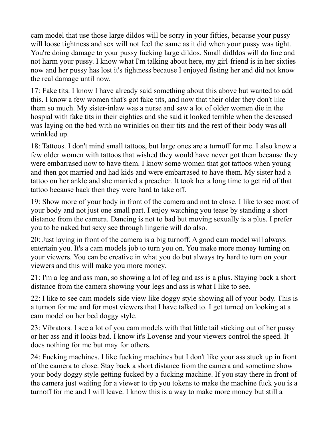cam model that use those large dildos will be sorry in your fifties, because your pussy will loose tightness and sex will not feel the same as it did when your pussy was tight. You're doing damage to your pussy fucking large dildos. Small didldos will do fine and not harm your pussy. I know what I'm talking about here, my girl-friend is in her sixties now and her pussy has lost it's tightness because I enjoyed fisting her and did not know the real damage until now.

17: Fake tits. I know I have already said something about this above but wanted to add this. I know a few women that's got fake tits, and now that their older they don't like them so much. My sister-inlaw was a nurse and saw a lot of older women die in the hospial with fake tits in their eighties and she said it looked terrible when the deseased was laying on the bed with no wrinkles on their tits and the rest of their body was all wrinkled up.

18: Tattoos. I don't mind small tattoos, but large ones are a turnoff for me. I also know a few older women with tattoos that wished they would have never got them because they were embarrased now to have them. I know some women that got tattoos when young and then got married and had kids and were embarrased to have them. My sister had a tattoo on her ankle and she married a preacher. It took her a long time to get rid of that tattoo because back then they were hard to take off.

19: Show more of your body in front of the camera and not to close. I like to see most of your body and not just one small part. I enjoy watching you tease by standing a short distance from the camera. Dancing is not to bad but moving sexually is a plus. I prefer you to be naked but sexy see through lingerie will do also.

20: Just laying in front of the camera is a big turnoff. A good cam model will always entertain you. It's a cam models job to turn you on. You make more money turning on your viewers. You can be creative in what you do but always try hard to turn on your viewers and this will make you more money.

21: I'm a leg and ass man, so showing a lot of leg and ass is a plus. Staying back a short distance from the camera showing your legs and ass is what I like to see.

22: I like to see cam models side view like doggy style showing all of your body. This is a turnon for me and for most viewers that I have talked to. I get turned on looking at a cam model on her bed doggy style.

23: Vibrators. I see a lot of you cam models with that little tail sticking out of her pussy or her ass and it looks bad. I know it's Lovense and your viewers control the speed. It does nothing for me but may for others.

24: Fucking machines. I like fucking machines but I don't like your ass stuck up in front of the camera to close. Stay back a short distance from the camera and sometime show your body doggy style getting fucked by a fucking machine. If you stay there in front of the camera just waiting for a viewer to tip you tokens to make the machine fuck you is a turnoff for me and I will leave. I know this is a way to make more money but still a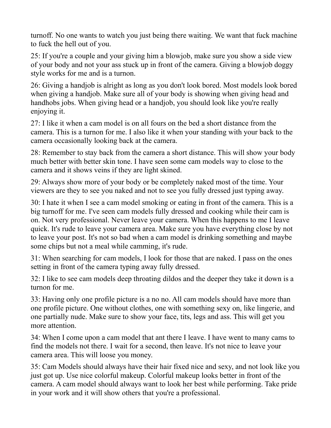turnoff. No one wants to watch you just being there waiting. We want that fuck machine to fuck the hell out of you.

25: If you're a couple and your giving him a blowjob, make sure you show a side view of your body and not your ass stuck up in front of the camera. Giving a blowjob doggy style works for me and is a turnon.

26: Giving a handjob is alright as long as you don't look bored. Most models look bored when giving a handjob. Make sure all of your body is showing when giving head and handhobs jobs. When giving head or a handjob, you should look like you're really enjoying it.

27: I like it when a cam model is on all fours on the bed a short distance from the camera. This is a turnon for me. I also like it when your standing with your back to the camera occasionally looking back at the camera.

28: Remember to stay back from the camera a short distance. This will show your body much better with better skin tone. I have seen some cam models way to close to the camera and it shows veins if they are light skined.

29: Always show more of your body or be completely naked most of the time. Your viewers are they to see you naked and not to see you fully dressed just typing away.

30: I hate it when I see a cam model smoking or eating in front of the camera. This is a big turnoff for me. I've seen cam models fully dressed and cooking while their cam is on. Not very professional. Never leave your camera. When this happens to me I leave quick. It's rude to leave your camera area. Make sure you have everything close by not to leave your post. It's not so bad when a cam model is drinking something and maybe some chips but not a meal while camming, it's rude.

31: When searching for cam models, I look for those that are naked. I pass on the ones setting in front of the camera typing away fully dressed.

32: I like to see cam models deep throating dildos and the deeper they take it down is a turnon for me.

33: Having only one profile picture is a no no. All cam models should have more than one profile picture. One without clothes, one with something sexy on, like lingerie, and one partially nude. Make sure to show your face, tits, legs and ass. This will get you more attention.

34: When I come upon a cam model that ant there I leave. I have went to many cams to find the models not there. I wait for a second, then leave. It's not nice to leave your camera area. This will loose you money.

35: Cam Models should always have their hair fixed nice and sexy, and not look like you just got up. Use nice colorful makeup. Colorful makeup looks better in front of the camera. A cam model should always want to look her best while performing. Take pride in your work and it will show others that you're a professional.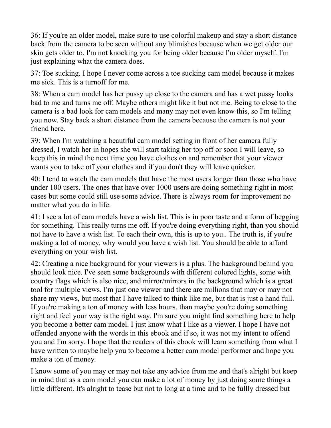36: If you're an older model, make sure to use colorful makeup and stay a short distance back from the camera to be seen without any blimishes because when we get older our skin gets older to. I'm not knocking you for being older because I'm older myself. I'm just explaining what the camera does.

37: Toe sucking. I hope I never come across a toe sucking cam model because it makes me sick. This is a turnoff for me.

38: When a cam model has her pussy up close to the camera and has a wet pussy looks bad to me and turns me off. Maybe others might like it but not me. Being to close to the camera is a bad look for cam models and many may not even know this, so I'm telling you now. Stay back a short distance from the camera because the camera is not your friend here.

39: When I'm watching a beautiful cam model setting in front of her camera fully dressed, I watch her in hopes she will start taking her top off or soon I will leave, so keep this in mind the next time you have clothes on and remember that your viewer wants you to take off your clothes and if you don't they will leave quicker.

40: I tend to watch the cam models that have the most users longer than those who have under 100 users. The ones that have over 1000 users are doing something right in most cases but some could still use some advice. There is always room for improvement no matter what you do in life.

41: I see a lot of cam models have a wish list. This is in poor taste and a form of begging for something. This really turns me off. If you're doing everything right, than you should not have to have a wish list. To each their own, this is up to you.. The truth is, if you're making a lot of money, why would you have a wish list. You should be able to afford everything on your wish list.

42: Creating a nice background for your viewers is a plus. The background behind you should look nice. I've seen some backgrounds with different colored lights, some with country flags which is also nice, and mirror/mirrors in the background which is a great tool for multiple views. I'm just one viewer and there are millions that may or may not share my views, but most that I have talked to think like me, but that is just a hand full. If you're making a ton of money with less hours, than maybe you're doing something right and feel your way is the right way. I'm sure you might find something here to help you become a better cam model. I just know what I like as a viewer. I hope I have not offended anyone with the words in this ebook and if so, it was not my intent to offend you and I'm sorry. I hope that the readers of this ebook will learn something from what I have written to maybe help you to become a better cam model performer and hope you make a ton of money.

I know some of you may or may not take any advice from me and that's alright but keep in mind that as a cam model you can make a lot of money by just doing some things a little different. It's alright to tease but not to long at a time and to be fullly dressed but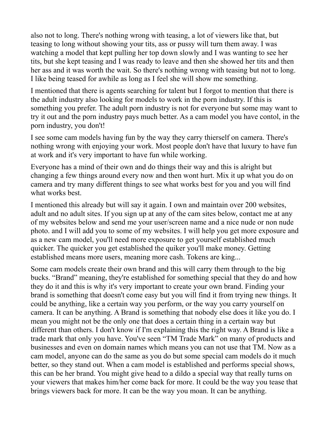also not to long. There's nothing wrong with teasing, a lot of viewers like that, but teasing to long without showing your tits, ass or pussy will turn them away. I was watching a model that kept pulling her top down slowly and I was wanting to see her tits, but she kept teasing and I was ready to leave and then she showed her tits and then her ass and it was worth the wait. So there's nothing wrong with teasing but not to long. I like being teased for awhile as long as I feel she will show me something.

I mentioned that there is agents searching for talent but I forgot to mention that there is the adult industry also looking for models to work in the porn industry. If this is something you prefer. The adult porn industry is not for everyone but some may want to try it out and the porn industry pays much better. As a cam model you have contol, in the porn industry, you don't!

I see some cam models having fun by the way they carry thierself on camera. There's nothing wrong with enjoying your work. Most people don't have that luxury to have fun at work and it's very important to have fun while working.

Everyone has a mind of their own and do things their way and this is alright but changing a few things around every now and then wont hurt. Mix it up what you do on camera and try many different things to see what works best for you and you will find what works best.

I mentioned this already but will say it again. I own and maintain over 200 websites, adult and no adult sites. If you sign up at any of the cam sites below, contact me at any of my websites below and send me your user/screen name and a nice nude or non nude photo. and I will add you to some of my websites. I will help you get more exposure and as a new cam model, you'll need more exposure to get yourself established much quicker. The quicker you get established the quiker you'll make money. Getting established means more users, meaning more cash. Tokens are king...

Some cam models create their own brand and this will carry them through to the big bucks. "Brand" meaning, they're established for something special that they do and how they do it and this is why it's very important to create your own brand. Finding your brand is something that doesn't come easy but you will find it from trying new things. It could be anything, like a certain way you perform, or the way you carry yourself on camera. It can be anything. A Brand is something that nobody else does it like you do. I mean you might not be the only one that does a certain thing in a certain way but different than others. I don't know if I'm explaining this the right way. A Brand is like a trade mark that only you have. You've seen "TM Trade Mark" on many of products and businesses and even on domain names which means you can not use that TM. Now as a cam model, anyone can do the same as you do but some special cam models do it much better, so they stand out. When a cam model is established and performs special shows, this can be her brand. You might give head to a dildo a special way that really turns on your viewers that makes him/her come back for more. It could be the way you tease that brings viewers back for more. It can be the way you moan. It can be anything.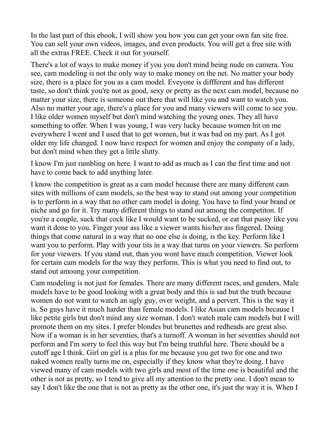In the last part of this ebook, I will show you how you can get your own fan site free. You can sell your own videos, images, and even products. You will get a free site with all the extras FREE. Check it out for yourself.

There's a lot of ways to make money if you you don't mind being nude on camera. You see, cam modeling is not the only way to make money on the net. No matter your body size, there is a place for you as a cam model. Eveyone is diffferent and has different taste, so don't think you're not as good, sexy or pretty as the next cam model, because no matter your size, there is someone out there that will like you and want to watch you. Also no matter your age, there's a place for you and many viewers will come to see you. I like older women myself but don't mind watching the young ones. They all have something to offer. When I was young, I was very lucky because women hit on me everywhere I went and I used that to get women, but it was bad on my part. As I got older my life changed. I now have respect for women and enjoy the company of a lady, but don't mind when they get a little slutty.

I know I'm just rambling on here. I want to add as much as I can the first time and not have to come back to add anything later.

I know the competition is great as a cam model because there are many different cam sites with millions of cam models, so the best way to stand out among your competition is to perform in a way that no other cam model is doing. You have to find your brand or niche and go for it. Try many different things to stand out among the competiton. If you're a couple, suck that cock like I would want to be sucked, or eat that pussy like you want it done to you. Finger your ass like a viewer wants his/her ass fingered. Doing things that come natural in a way that no one else is doing, is the key. Perform like I want you to perform. Play with your tits in a way that turns on your viewers. So perform for your viewers. If you stand out, than you wont have much competition. Viewer look for certain cam models for the way they perform. This is what you need to find out, to stand out amoung your competition.

Cam modeling is not just for females. There are many different races, and genders. Male models have to be good looking with a great body and this is sad but the truth because women do not want to watch an ugly guy, over weight, and a pervert. This is the way it is. So guys have it much harder than female models. I like Asian cam models because I like petite girls but don't mind any size woman. I don't watch male cam models but I will promote them on my sites. I prefer blondes but brunettes and redheads are great also. Now if a woman is in her seventies, that's a turnoff. A woman in her seventies should not perform and I'm sorry to feel this way but I'm being truthful here. There should be a cutoff age I think. Girl on girl is a plus for me because you get two for one and two naked women really turns me on, especially if they know what they're doing. I have viewed many of cam models with two girls and most of the time one is beautiful and the other is not as pretty, so I tend to give all my attention to the pretty one. I don't mean to say I don't like the one that is not as pretty as the other one, it's just the way it is. When I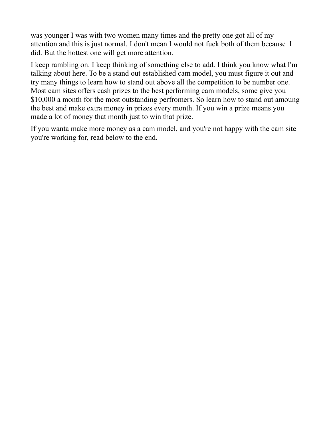was younger I was with two women many times and the pretty one got all of my attention and this is just normal. I don't mean I would not fuck both of them because I did. But the hottest one will get more attention.

I keep rambling on. I keep thinking of something else to add. I think you know what I'm talking about here. To be a stand out established cam model, you must figure it out and try many things to learn how to stand out above all the competition to be number one. Most cam sites offers cash prizes to the best performing cam models, some give you \$10,000 a month for the most outstanding perfromers. So learn how to stand out amoung the best and make extra money in prizes every month. If you win a prize means you made a lot of money that month just to win that prize.

If you wanta make more money as a cam model, and you're not happy with the cam site you're working for, read below to the end.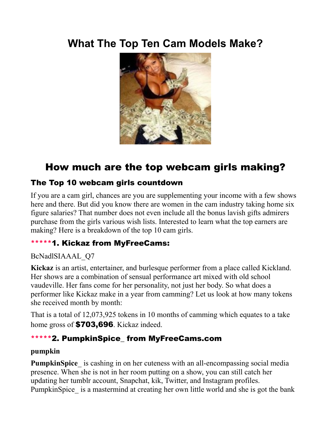## <span id="page-14-0"></span>**What The Top Ten Cam Models Make?**



## How much are the top webcam girls making?

#### The Top 10 webcam girls countdown

If you are a cam girl, chances are you are supplementing your income with a few shows here and there. But did you know there are women in the cam industry taking home six figure salaries? That number does not even include all the bonus lavish gifts admirers purchase from the girls various wish lists. Interested to learn what the top earners are making? Here is a breakdown of the top 10 cam girls.

#### \*\*\*\*\*1. Kickaz from MyFreeCams:

#### BcNadlSIAAAL\_Q7

**Kickaz** is an artist, entertainer, and burlesque performer from a place called Kickland. Her shows are a combination of sensual performance art mixed with old school vaudeville. Her fans come for her personality, not just her body. So what does a performer like Kickaz make in a year from camming? Let us look at how many tokens she received month by month:

That is a total of 12,073,925 tokens in 10 months of camming which equates to a take home gross of **\$703,696**. Kickaz indeed.

#### \*\*\*\*\*2. PumpkinSpice\_ from MyFreeCams.com

#### **pumpkin**

**PumpkinSpice** is cashing in on her cuteness with an all-encompassing social media presence. When she is not in her room putting on a show, you can still catch her updating her tumblr account, Snapchat, kik, Twitter, and Instagram profiles. PumpkinSpice is a mastermind at creating her own little world and she is got the bank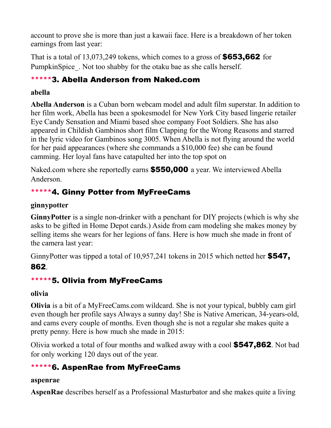account to prove she is more than just a kawaii face. Here is a breakdown of her token earnings from last year:

That is a total of 13,073,249 tokens, which comes to a gross of  $$653,662$  for PumpkinSpice. Not too shabby for the otaku bae as she calls herself.

#### \*\*\*\*\*3. Abella Anderson from Naked.com

#### **abella**

**Abella Anderson** is a Cuban born webcam model and adult film superstar. In addition to her film work, Abella has been a spokesmodel for New York City based lingerie retailer Eye Candy Sensation and Miami based shoe company Foot Soldiers. She has also appeared in Childish Gambinos short film Clapping for the Wrong Reasons and starred in the lyric video for Gambinos song 3005. When Abella is not flying around the world for her paid appearances (where she commands a \$10,000 fee) she can be found camming. Her loyal fans have catapulted her into the top spot on

Naked.com where she reportedly earns **\$550,000** a year. We interviewed Abella Anderson.

#### \*\*\*\*\*4. Ginny Potter from MyFreeCams

#### **ginnypotter**

**GinnyPotter** is a single non-drinker with a penchant for DIY projects (which is why she asks to be gifted in Home Depot cards.) Aside from cam modeling she makes money by selling items she wears for her legions of fans. Here is how much she made in front of the camera last year:

GinnyPotter was tipped a total of 10,957,241 tokens in 2015 which netted her **\$547,** 862.

#### \*\*\*\*\*5. Olivia from MyFreeCams

#### **olivia**

**Olivia** is a bit of a MyFreeCams.com wildcard. She is not your typical, bubbly cam girl even though her profile says Always a sunny day! She is Native American, 34-years-old, and cams every couple of months. Even though she is not a regular she makes quite a pretty penny. Here is how much she made in 2015:

Olivia worked a total of four months and walked away with a cool \$547,862. Not bad for only working 120 days out of the year.

## \*\*\*\*\*6. AspenRae from MyFreeCams

#### **aspenrae**

**AspenRae** describes herself as a Professional Masturbator and she makes quite a living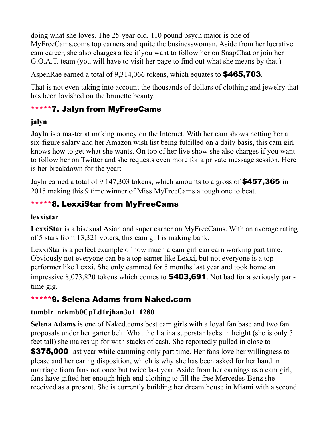doing what she loves. The 25-year-old, 110 pound psych major is one of MyFreeCams.coms top earners and quite the businesswoman. Aside from her lucrative cam career, she also charges a fee if you want to follow her on SnapChat or join her G.O.A.T. team (you will have to visit her page to find out what she means by that.)

AspenRae earned a total of 9,314,066 tokens, which equates to **\$465,703**.

That is not even taking into account the thousands of dollars of clothing and jewelry that has been lavished on the brunette beauty.

#### \*\*\*\*\*7. Jalyn from MyFreeCams

#### **jalyn**

**Jayln** is a master at making money on the Internet. With her cam shows netting her a six-figure salary and her Amazon wish list being fulfilled on a daily basis, this cam girl knows how to get what she wants. On top of her live show she also charges if you want to follow her on Twitter and she requests even more for a private message session. Here is her breakdown for the year:

Jayln earned a total of 9.147,303 tokens, which amounts to a gross of \$457,365 in 2015 making this 9 time winner of Miss MyFreeCams a tough one to beat.

#### \*\*\*\*\*8. LexxiStar from MyFreeCams

#### **lexxistar**

**LexxiStar** is a bisexual Asian and super earner on MyFreeCams. With an average rating of 5 stars from 13,321 voters, this cam girl is making bank.

LexxiStar is a perfect example of how much a cam girl can earn working part time. Obviously not everyone can be a top earner like Lexxi, but not everyone is a top performer like Lexxi. She only cammed for 5 months last year and took home an impressive 8,073,820 tokens which comes to \$403,691. Not bad for a seriously parttime gig.

#### \*\*\*\*\*9. Selena Adams from Naked.com

#### **tumblr\_nrkmb0CpLd1rjhan3o1\_1280**

**Selena Adams** is one of Naked.coms best cam girls with a loyal fan base and two fan proposals under her garter belt. What the Latina superstar lacks in height (she is only 5 feet tall) she makes up for with stacks of cash. She reportedly pulled in close to

\$375,000 last year while camming only part time. Her fans love her willingness to please and her caring disposition, which is why she has been asked for her hand in marriage from fans not once but twice last year. Aside from her earnings as a cam girl, fans have gifted her enough high-end clothing to fill the free Mercedes-Benz she received as a present. She is currently building her dream house in Miami with a second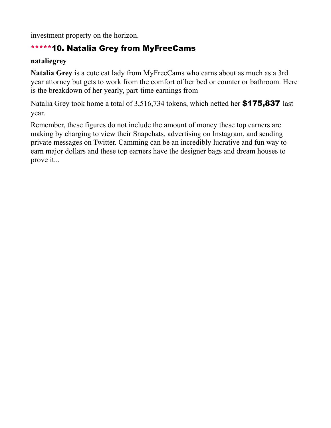investment property on the horizon.

#### \*\*\*\*\*10. Natalia Grey from MyFreeCams

#### **nataliegrey**

**Natalia Grey** is a cute cat lady from MyFreeCams who earns about as much as a 3rd year attorney but gets to work from the comfort of her bed or counter or bathroom. Here is the breakdown of her yearly, part-time earnings from

Natalia Grey took home a total of 3,516,734 tokens, which netted her \$175,837 last year.

Remember, these figures do not include the amount of money these top earners are making by charging to view their Snapchats, advertising on Instagram, and sending private messages on Twitter. Camming can be an incredibly lucrative and fun way to earn major dollars and these top earners have the designer bags and dream houses to prove it...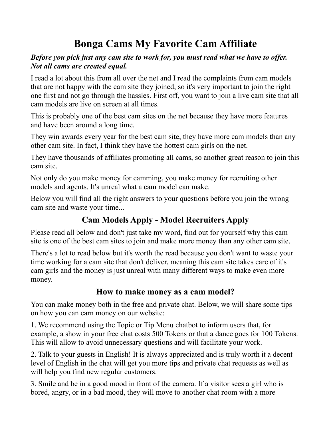## <span id="page-18-0"></span>**Bonga Cams My Favorite Cam Affiliate**

#### *Before you pick just any cam site to work for, you must read what we have to offer. Not all cams are created equal.*

I read a lot about this from all over the net and I read the complaints from cam models that are not happy with the cam site they joined, so it's very important to join the right one first and not go through the hassles. First off, you want to join a live cam site that all cam models are live on screen at all times.

This is probably one of the best cam sites on the net because they have more features and have been around a long time.

They win awards every year for the best cam site, they have more cam models than any other cam site. In fact, I think they have the hottest cam girls on the net.

They have thousands of affiliates promoting all cams, so another great reason to join this cam site.

Not only do you make money for camming, you make money for recruiting other models and agents. It's unreal what a cam model can make.

Below you will find all the right answers to your questions before you join the wrong cam site and waste your time...

## **[Cam Models Apply](https://bongacash.com/model-ref?c=359900) - [Model Recruiters Apply](https://bongacash.com/ref?c=359899)**

Please read all below and don't just take my word, find out for yourself why this cam site is one of the best cam sites to join and make more money than any other cam site.

There's a lot to read below but it's worth the read because you don't want to waste your time working for a cam site that don't deliver, meaning this cam site takes care of it's cam girls and the money is just unreal with many different ways to make even more money.

#### **How to make money as a cam model?**

You can make money both in the free and private chat. Below, we will share some tips on how you can earn money on our website:

1. We recommend using the Topic or Tip Menu chatbot to inform users that, for example, a show in your free chat costs 500 Tokens or that a dance goes for 100 Tokens. This will allow to avoid unnecessary questions and will facilitate your work.

2. Talk to your guests in English! It is always appreciated and is truly worth it a decent level of English in the chat will get you more tips and private chat requests as well as will help you find new regular customers.

3. Smile and be in a good mood in front of the camera. If a visitor sees a girl who is bored, angry, or in a bad mood, they will move to another chat room with a more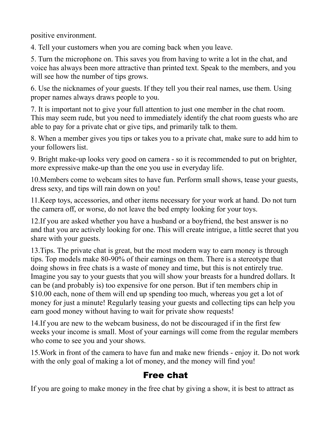positive environment.

4. Tell your customers when you are coming back when you leave.

5. Turn the microphone on. This saves you from having to write a lot in the chat, and voice has always been more attractive than printed text. Speak to the members, and you will see how the number of tips grows.

6. Use the nicknames of your guests. If they tell you their real names, use them. Using proper names always draws people to you.

7. It is important not to give your full attention to just one member in the chat room. This may seem rude, but you need to immediately identify the chat room guests who are able to pay for a private chat or give tips, and primarily talk to them.

8. When a member gives you tips or takes you to a private chat, make sure to add him to your followers list.

9. Bright make-up looks very good on camera - so it is recommended to put on brighter, more expressive make-up than the one you use in everyday life.

10.Members come to webcam sites to have fun. Perform small shows, tease your guests, dress sexy, and tips will rain down on you!

11.Keep toys, accessories, and other items necessary for your work at hand. Do not turn the camera off, or worse, do not leave the bed empty looking for your toys.

12.If you are asked whether you have a husband or a boyfriend, the best answer is no and that you are actively looking for one. This will create intrigue, a little secret that you share with your guests.

13.Tips. The private chat is great, but the most modern way to earn money is through tips. Top models make 80-90% of their earnings on them. There is a stereotype that doing shows in free chats is a waste of money and time, but this is not entirely true. Imagine you say to your guests that you will show your breasts for a hundred dollars. It can be (and probably is) too expensive for one person. But if ten members chip in \$10.00 each, none of them will end up spending too much, whereas you get a lot of money for just a minute! Regularly teasing your guests and collecting tips can help you earn good money without having to wait for private show requests!

14.If you are new to the webcam business, do not be discouraged if in the first few weeks your income is small. Most of your earnings will come from the regular members who come to see you and your shows.

15.Work in front of the camera to have fun and make new friends - enjoy it. Do not work with the only goal of making a lot of money, and the money will find you!

### Free chat

If you are going to make money in the free chat by giving a show, it is best to attract as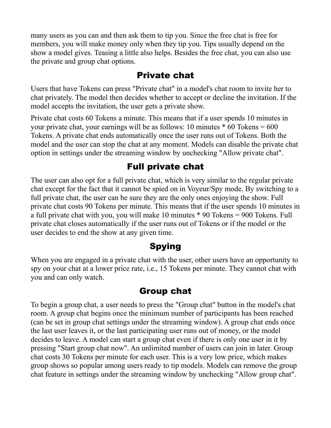many users as you can and then ask them to tip you. Since the free chat is free for members, you will make money only when they tip you. Tips usually depend on the show a model gives. Teasing a little also helps. Besides the free chat, you can also use the private and group chat options.

#### Private chat

Users that have Tokens can press "Private chat" in a model's chat room to invite her to chat privately. The model then decides whether to accept or decline the invitation. If the model accepts the invitation, the user gets a private show.

Private chat costs 60 Tokens a minute. This means that if a user spends 10 minutes in your private chat, your earnings will be as follows: 10 minutes  $*$  60 Tokens = 600 Tokens. A private chat ends automatically once the user runs out of Tokens. Both the model and the user can stop the chat at any moment. Models can disable the private chat option in settings under the streaming window by unchecking "Allow private chat".

### Full private chat

The user can also opt for a full private chat, which is very similar to the regular private chat except for the fact that it cannot be spied on in Voyeur/Spy mode. By switching to a full private chat, the user can be sure they are the only ones enjoying the show. Full private chat costs 90 Tokens per minute. This means that if the user spends 10 minutes in a full private chat with you, you will make 10 minutes \* 90 Tokens = 900 Tokens. Full private chat closes automatically if the user runs out of Tokens or if the model or the user decides to end the show at any given time.

### **Spying**

When you are engaged in a private chat with the user, other users have an opportunity to spy on your chat at a lower price rate, i.e., 15 Tokens per minute. They cannot chat with you and can only watch.

#### Group chat

To begin a group chat, a user needs to press the "Group chat" button in the model's chat room. A group chat begins once the minimum number of participants has been reached (can be set in group chat settings under the streaming window). A group chat ends once the last user leaves it, or the last participating user runs out of money, or the model decides to leave. A model can start a group chat even if there is only one user in it by pressing "Start group chat now". An unlimited number of users can join in later. Group chat costs 30 Tokens per minute for each user. This is a very low price, which makes group shows so popular among users ready to tip models. Models can remove the group chat feature in settings under the streaming window by unchecking "Allow group chat".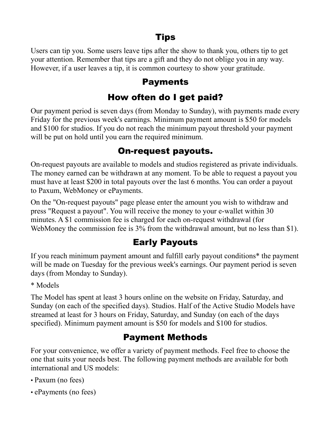## Tips

Users can tip you. Some users leave tips after the show to thank you, others tip to get your attention. Remember that tips are a gift and they do not oblige you in any way. However, if a user leaves a tip, it is common courtesy to show your gratitude.

### Payments

## How often do I get paid?

Our payment period is seven days (from Monday to Sunday), with payments made every Friday for the previous week's earnings. Minimum payment amount is \$50 for models and \$100 for studios. If you do not reach the minimum payout threshold your payment will be put on hold until you earn the required minimum.

### On-request payouts.

On-request payouts are available to models and studios registered as private individuals. The money earned can be withdrawn at any moment. To be able to request a payout you must have at least \$200 in total payouts over the last 6 months. You can order a payout to Paxum, WebMoney or ePayments.

On the "On-request payouts" page please enter the amount you wish to withdraw and press "Request a payout". You will receive the money to your e-wallet within 30 minutes. A \$1 commission fee is charged for each on-request withdrawal (for WebMoney the commission fee is 3% from the withdrawal amount, but no less than \$1).

## Early Payouts

If you reach minimum payment amount and fulfill early payout conditions\* the payment will be made on Tuesday for the previous week's earnings. Our payment period is seven days (from Monday to Sunday).

\* Models

The Model has spent at least 3 hours online on the website on Friday, Saturday, and Sunday (on each of the specified days). Studios. Half of the Active Studio Models have streamed at least for 3 hours on Friday, Saturday, and Sunday (on each of the days specified). Minimum payment amount is \$50 for models and \$100 for studios.

## Payment Methods

For your convenience, we offer a variety of payment methods. Feel free to choose the one that suits your needs best. The following payment methods are available for both international and US models:

- Paxum (no fees)
- ePayments (no fees)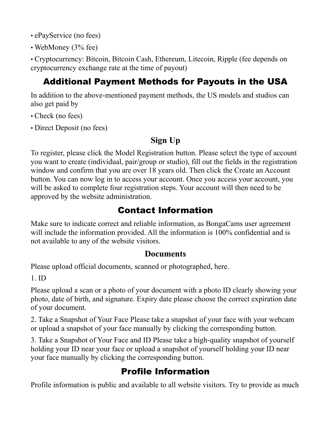- ePayService (no fees)
- WebMoney (3% fee)

• Cryptocurrency: Bitcoin, Bitcoin Cash, Ethereum, Litecoin, Ripple (fee depends on cryptocurrency exchange rate at the time of payout)

## Additional Payment Methods for Payouts in the USA

In addition to the above-mentioned payment methods, the US models and studios can also get paid by

- Check (no fees)
- Direct Deposit (no fees)

#### **Sign Up**

To register, please click the Model Registration button. Please select the type of account you want to create (individual, pair/group or studio), fill out the fields in the registration window and confirm that you are over 18 years old. Then click the Create an Account button. You can now log in to access your account. Once you access your account, you will be asked to complete four registration steps. Your account will then need to be approved by the website administration.

## Сontact Information

Make sure to indicate correct and reliable information, as BongaCams user agreement will include the information provided. All the information is 100% confidential and is not available to any of the website visitors.

#### **Documents**

Please upload official documents, scanned or photographed, here.

1. ID

Please upload a scan or a photo of your document with a photo ID clearly showing your photo, date of birth, and signature. Expiry date please choose the correct expiration date of your document.

2. Take a Snapshot of Your Face Please take a snapshot of your face with your webcam or upload a snapshot of your face manually by clicking the corresponding button.

3. Take a Snapshot of Your Face and ID Please take a high-quality snapshot of yourself holding your ID near your face or upload a snapshot of yourself holding your ID near your face manually by clicking the corresponding button.

## Profile Information

Profile information is public and available to all website visitors. Try to provide as much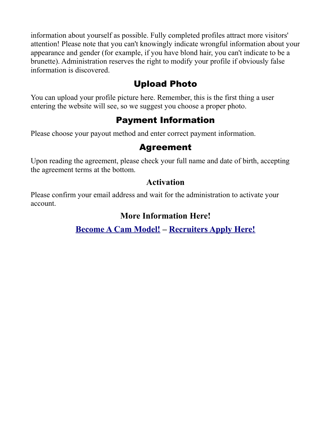information about yourself as possible. Fully completed profiles attract more visitors' attention! Please note that you can't knowingly indicate wrongful information about your appearance and gender (for example, if you have blond hair, you can't indicate to be a brunette). Administration reserves the right to modify your profile if obviously false information is discovered.

### Upload Photo

You can upload your profile picture here. Remember, this is the first thing a user entering the website will see, so we suggest you choose a proper photo.

### Payment Information

Please choose your payout method and enter correct payment information.

#### Agreement

Upon reading the agreement, please check your full name and date of birth, accepting the agreement terms at the bottom.

#### **Activation**

Please confirm your email address and wait for the administration to activate your account.

#### **[More Information Here!](https://bongacash.com/model-ref?c=359900)**

**[Become A Cam Model!](https://bongacash.com/model-ref?c=359900) – [Recruiters Apply Here!](https://bongacash.com/ref?c=359899)**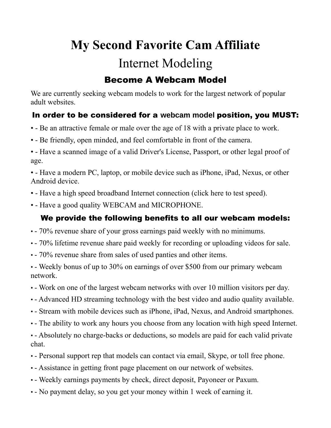## <span id="page-24-0"></span>**My Second Favorite Cam Affiliate** Internet Modeling

### Become A Webcam Model

We are currently seeking webcam models to work for the largest network of popular adult websites.

#### In order to be considered for a **webcam model** position, you MUST:

- - Be an attractive female or male over the age of 18 with a private place to work.
- - Be friendly, open minded, and feel comfortable in front of the camera.

• - Have a scanned image of a valid Driver's License, Passport, or other legal proof of age.

• - Have a modern PC, laptop, or mobile device such as iPhone, iPad, Nexus, or other Android device.

- - Have a high speed broadband Internet connection (click here to test speed).
- - Have a good quality WEBCAM and MICROPHONE.

#### We provide the following benefits to all our webcam models:

- - 70% revenue share of your gross earnings paid weekly with no minimums.
- - 70% lifetime revenue share paid weekly for recording or uploading videos for sale.
- - 70% revenue share from sales of used panties and other items.

• - Weekly bonus of up to 30% on earnings of over \$500 from our primary webcam network.

- - Work on one of the largest webcam networks with over 10 million visitors per day.
- - Advanced HD streaming technology with the best video and audio quality available.
- - Stream with mobile devices such as iPhone, iPad, Nexus, and Android smartphones.
- - The ability to work any hours you choose from any location with high speed Internet.

• - Absolutely no charge-backs or deductions, so models are paid for each valid private chat.

- - Personal support rep that models can contact via email, Skype, or toll free phone.
- - Assistance in getting front page placement on our network of websites.
- - Weekly earnings payments by check, direct deposit, Payoneer or Paxum.
- - No payment delay, so you get your money within 1 week of earning it.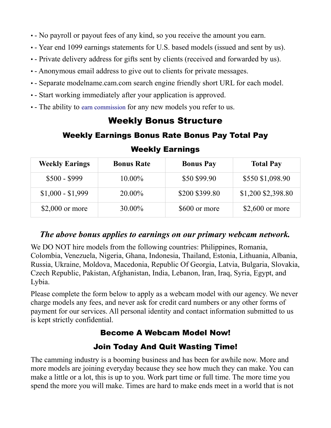- - No payroll or payout fees of any kind, so you receive the amount you earn.
- - Year end 1099 earnings statements for U.S. based models (issued and sent by us).
- - Private delivery address for gifts sent by clients (received and forwarded by us).
- - Anonymous email address to give out to clients for private messages.
- - Separate modelname.cam.com search engine friendly short URL for each model.
- - Start working immediately after your application is approved.
- - The ability to earn commission for any new models you refer to us.

#### Weekly Bonus Structure

#### Weekly Earnings Bonus Rate Bonus Pay Total Pay

| <b>Weekly Earings</b> | <b>Bonus Rate</b> | <b>Bonus Pay</b> | <b>Total Pay</b>   |
|-----------------------|-------------------|------------------|--------------------|
| $$500 - $999$         | $10.00\%$         | \$50 \$99.90     | \$550 \$1,098.90   |
| $$1,000 - $1,999$     | 20.00%            | \$200 \$399.80   | \$1,200 \$2,398.80 |
| $$2,000$ or more      | 30.00%            | \$600 or more    | $$2,600$ or more   |

#### Weekly Earnings

#### *The above bonus applies to earnings on our primary webcam network.*

We DO NOT hire models from the following countries: Philippines, Romania, Colombia, Venezuela, Nigeria, Ghana, Indonesia, Thailand, Estonia, Lithuania, Albania, Russia, Ukraine, Moldova, Macedonia, Republic Of Georgia, Latvia, Bulgaria, Slovakia, Czech Republic, Pakistan, Afghanistan, India, Lebanon, Iran, Iraq, Syria, Egypt, and Lybia.

Please complete the form below to apply as a webcam model with our agency. We never charge models any fees, and never ask for credit card numbers or any other forms of payment for our services. All personal identity and contact information submitted to us is kept strictly confidential.

#### [Become A Webcam Model Now!](https://www.internetmodeling.com/144/application.htm)

#### [Join Today And Quit Wasting Time!](https://www.internetmodeling.com/144/application.htm)

The camming industry is a booming business and has been for awhile now. More and more models are joining everyday because they see how much they can make. You can make a little or a lot, this is up to you. Work part time or full time. The more time you spend the more you will make. Times are hard to make ends meet in a world that is not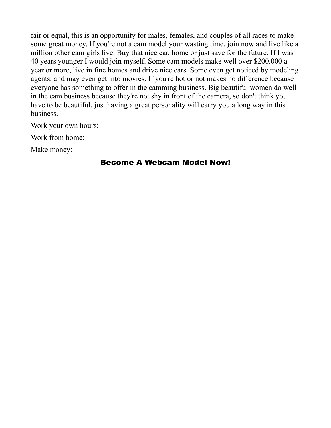fair or equal, this is an opportunity for males, females, and couples of all races to make some great money. If you're not a cam model your wasting time, join now and live like a million other cam girls live. Buy that nice car, home or just save for the future. If I was 40 years younger I would join myself. Some cam models make well over \$200.000 a year or more, live in fine homes and drive nice cars. Some even get noticed by modeling agents, and may even get into movies. If you're hot or not makes no difference because everyone has something to offer in the camming business. Big beautiful women do well in the cam business because they're not shy in front of the camera, so don't think you have to be beautiful, just having a great personality will carry you a long way in this business.

Work your own hours:

Work from home:

Make money:

#### [Become A Webcam Model Now!](https://www.internetmodeling.com/144/application.htm)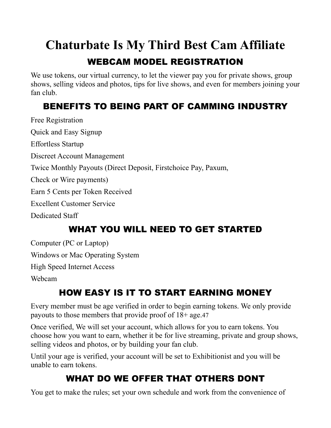# <span id="page-27-0"></span>**Chaturbate Is My Third Best Cam Affiliate**

## WEBCAM MODEL REGISTRATION

We use tokens, our virtual currency, to let the viewer pay you for private shows, group shows, selling videos and photos, tips for live shows, and even for members joining your fan club.

## BENEFITS TO BEING PART OF CAMMING INDUSTRY

Free Registration Quick and Easy Signup Effortless Startup Discreet Account Management Twice Monthly Payouts (Direct Deposit, Firstchoice Pay, Paxum, Check or Wire payments) Earn 5 Cents per Token Received Excellent Customer Service Dedicated Staff

## WHAT YOU WILL NEED TO GET STARTED

Computer (PC or Laptop)

Windows or Mac Operating System

High Speed Internet Access

Webcam

## HOW EASY IS IT TO START EARNING MONEY

Every member must be age verified in order to begin earning tokens. We only provide payouts to those members that provide proof of 18+ age.47

Once verified, We will set your account, which allows for you to earn tokens. You choose how you want to earn, whether it be for live streaming, private and group shows, selling videos and photos, or by building your fan club.

Until your age is verified, your account will be set to Exhibitionist and you will be unable to earn tokens.

## WHAT DO WE OFFER THAT OTHERS DONT

You get to make the rules; set your own schedule and work from the convenience of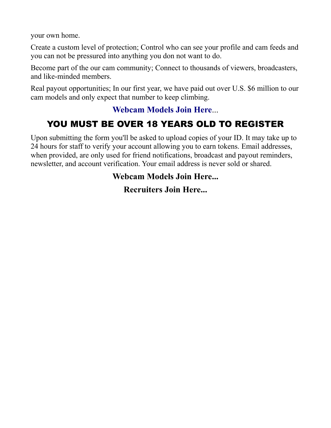your own home.

Create a custom level of protection; Control who can see your profile and cam feeds and you can not be pressured into anything you don not want to do.

Become part of the our cam community; Connect to thousands of viewers, broadcasters, and like-minded members.

Real payout opportunities; In our first year, we have paid out over U.S. \$6 million to our cam models and only expect that number to keep climbing.

#### **[Webcam Models Join Here](https://chaturbate.com/in/?track=default&tour=5zjT&campaign=lfuUw)**...

## YOU MUST BE OVER 18 YEARS OLD TO REGISTER

Upon submitting the form you'll be asked to upload copies of your ID. It may take up to 24 hours for staff to verify your account allowing you to earn tokens. Email addresses, when provided, are only used for friend notifications, broadcast and payout reminders, newsletter, and account verification. Your email address is never sold or shared.

#### **[Webcam Models Join Here.](https://chaturbate.com/in/?track=default&tour=5zjT&campaign=lfuUw)..**

#### **[Recruiters Join Here...](https://chaturbate.com/in/?track=default&tour=07kX&campaign=lfuUw)**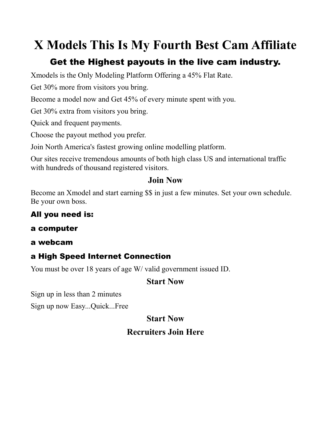## <span id="page-29-0"></span>**X Models This Is My Fourth Best Cam Affiliate**

## Get the Highest payouts in the live cam industry.

Xmodels is the Only Modeling Platform Offering a 45% Flat Rate.

Get 30% more from visitors you bring.

Become a model now and Get 45% of every minute spent with you.

Get 30% extra from visitors you bring.

Quick and frequent payments.

Choose the payout method you prefer.

Join North America's fastest growing online modelling platform.

Our sites receive tremendous amounts of both high class US and international traffic with hundreds of thousand registered visitors.

#### **[Join Now](http://www.xmodels.com/en/?comfrom=937948&refType=life)**

Become an Xmodel and start earning \$\$ in just a few minutes. Set your own schedule. Be your own boss.

#### All you need is:

#### a computer

a webcam

#### a High Speed Internet Connection

You must be over 18 years of age W/ valid government issued ID.

#### **[Start Now](http://www.xmodels.com/en/?comfrom=937948&refType=life)**

Sign up in less than 2 minutes

Sign up now Easy...Quick...Free

#### **[Start Now](http://www.xmodels.com/en/?comfrom=937948&refType=life)**

#### **[Recruiters Join Here](https://www.i-camz.com/agent/agent-sign-up.php?agent=10210)**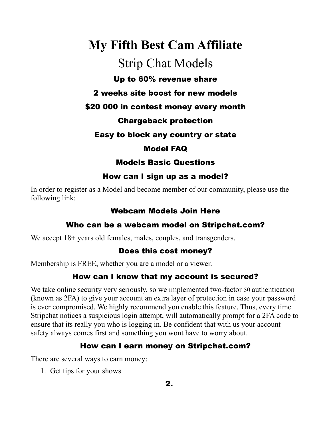## <span id="page-30-0"></span>**My Fifth Best Cam Affiliate** Strip Chat Models

#### Up to 60% revenue share

#### 2 weeks site boost for new models

#### \$20 000 in contest money every month

#### Chargeback protection

#### Easy to block any country or state

#### Model FAQ

#### Models Basic Questions

#### How can I sign up as a model?

In order to register as a Model and become member of our community, please use the following link:

#### [Webcam Models Join Here](https://go.stripchat.com/?userId=c44bf6da1b12d97ebfa20ffba7d3da0f3b29778b455e36285c1fd19f4ef5cb1a&path=/signup/model)

#### Who can be a webcam model on Stripchat.com?

We accept  $18+$  years old females, males, couples, and transgenders.

#### Does this cost money?

Membership is FREE, whether you are a model or a viewer.

#### How can I know that my account is secured?

We take online security very seriously, so we implemented two-factor 50 authentication (known as 2FA) to give your account an extra layer of protection in case your password is ever compromised. We highly recommend you enable this feature. Thus, every time Stripchat notices a suspicious login attempt, will automatically prompt for a 2FA code to ensure that its really you who is logging in. Be confident that with us your account safety always comes first and something you wont have to worry about.

#### How can I earn money on Stripchat.com?

There are several ways to earn money:

1. Get tips for your shows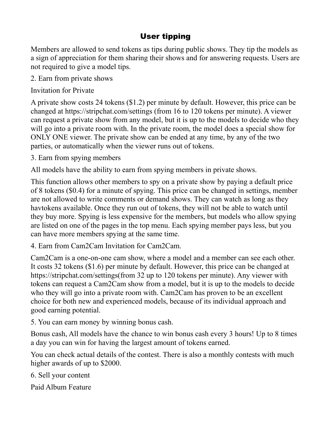#### User tipping

Members are allowed to send tokens as tips during public shows. They tip the models as a sign of appreciation for them sharing their shows and for answering requests. Users are not required to give a model tips.

2. Earn from private shows

Invitation for Private

A private show costs 24 tokens (\$1.2) per minute by default. However, this price can be changed at https://stripchat.com/settings (from 16 to 120 tokens per minute). A viewer can request a private show from any model, but it is up to the models to decide who they will go into a private room with. In the private room, the model does a special show for ONLY ONE viewer. The private show can be ended at any time, by any of the two parties, or automatically when the viewer runs out of tokens.

3. Earn from spying members

All models have the ability to earn from spying members in private shows.

This function allows other members to spy on a private show by paying a default price of 8 tokens (\$0.4) for a minute of spying. This price can be changed in settings, member are not allowed to write comments or demand shows. They can watch as long as they havtokens available. Once they run out of tokens, they will not be able to watch until they buy more. Spying is less expensive for the members, but models who allow spying are listed on one of the pages in the top menu. Each spying member pays less, but you can have more members spying at the same time.

4. Earn from Cam2Cam Invitation for Cam2Cam.

Cam2Cam is a one-on-one cam show, where a model and a member can see each other. It costs 32 tokens (\$1.6) per minute by default. However, this price can be changed at https://stripchat.com/settings(from 32 up to 120 tokens per minute). Any viewer with tokens can request a Cam2Cam show from a model, but it is up to the models to decide who they will go into a private room with. Cam2Cam has proven to be an excellent choice for both new and experienced models, because of its individual approach and good earning potential.

5. You can earn money by winning bonus cash.

Bonus cash, All models have the chance to win bonus cash every 3 hours! Up to 8 times a day you can win for having the largest amount of tokens earned.

You can check actual details of the contest. There is also a monthly contests with much higher awards of up to \$2000.

6. Sell your content

Paid Album Feature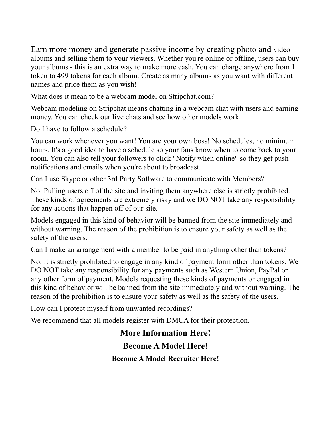Earn more money and generate passive income by creating photo and video albums and selling them to your viewers. Whether you're online or offline, users can buy your albums - this is an extra way to make more cash. You can charge anywhere from 1 token to 499 tokens for each album. Create as many albums as you want with different names and price them as you wish!

What does it mean to be a webcam model on Stripchat.com?

Webcam modeling on Stripchat means chatting in a webcam chat with users and earning money. You can check our live chats and see how other models work.

Do I have to follow a schedule?

You can work whenever you want! You are your own boss! No schedules, no minimum hours. It's a good idea to have a schedule so your fans know when to come back to your room. You can also tell your followers to click "Notify when online" so they get push notifications and emails when you're about to broadcast.

Can I use Skype or other 3rd Party Software to communicate with Members?

No. Pulling users off of the site and inviting them anywhere else is strictly prohibited. These kinds of agreements are extremely risky and we DO NOT take any responsibility for any actions that happen off of our site.

Models engaged in this kind of behavior will be banned from the site immediately and without warning. The reason of the prohibition is to ensure your safety as well as the safety of the users.

Can I make an arrangement with a member to be paid in anything other than tokens?

No. It is strictly prohibited to engage in any kind of payment form other than tokens. We DO NOT take any responsibility for any payments such as Western Union, PayPal or any other form of payment. Models requesting these kinds of payments or engaged in this kind of behavior will be banned from the site immediately and without warning. The reason of the prohibition is to ensure your safety as well as the safety of the users.

How can I protect myself from unwanted recordings?

We recommend that all models register with DMCA for their protection.

#### **[More Information Here!](https://go.stripchat.com/?userId=c44bf6da1b12d97ebfa20ffba7d3da0f3b29778b455e36285c1fd19f4ef5cb1a&path=/signup/model)**

#### **[Become A Model Here!](https://go.stripchat.com/?userId=c44bf6da1b12d97ebfa20ffba7d3da0f3b29778b455e36285c1fd19f4ef5cb1a&path=/signup/model)**

**[Become A Model Recruiter Here!](http://stripcash.com/sign-up/c44bf6da1b12d97ebfa20ffba7d3da0f3b29778b455e36285c1fd19f4ef5cb1a)**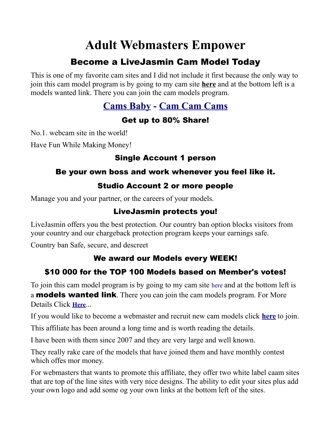## <span id="page-33-0"></span>**Adult Webmasters Empower**

## Become a LiveJasmin Cam Model Today

This is one of my favorite cam sites and I did not include it first because the only way to join this cam model program is by going to my cam site **[here](http://camsbaby.lsl.com/)** and at the bottom left is a models wanted link. There you can join the cam models program.

### **[Cams Baby](http://camsbaby.lsl.com/) - [Cam Cam Cams](http://camcamcams.lsl.com/)**

#### Get up to 80% Share!

No.1. webcam site in the world!

Have Fun While Making Money!

#### Single Account 1 person

#### Be your own boss and work whenever you feel like it.

#### Studio Account 2 or more people

Manage you and your partner, or the careers of your models.

#### LiveJasmin protects you!

LiveJasmin offers you the best protection. Our country ban option blocks visitors from your country and our chargeback protection program keeps your earnings safe.

Country ban Safe, secure, and descreet

#### We award our Models every WEEK!

### \$10 000 for the TOP 100 Models based on Member's votes!

To join this cam model program is by going to my cam site here and at the bottom left is a **models wanted link**. There you can join the cam models program. For More Details Click **[Here](http://camsbaby.lsl.com/)**...

If you would like to become a webmaster and recruit new cam models click **[here](https://www.awempire.com/?referral_rs=john4953&psprogram=wmref&pstool=1_40327)** to join.

This affiliate has been around a long time and is worth reading the details.

I have been with them since 2007 and they are very large and well known.

They really rake care of the models that have joined them and have monthly contest which offes mor money.

For webmasters that wants to promote this affiliate, they offer two white label caam sites that are top of the line sites with very nice designs. The ability to edit your sites plus add your own logo and add some og your own links at the bottom left of the sites.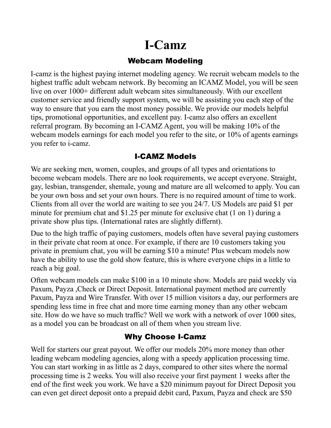## <span id="page-34-0"></span>**I-Camz**

#### Webcam Modeling

I-camz is the highest paying internet modeling agency. We recruit webcam models to the highest traffic adult webcam network. By becoming an ICAMZ Model, you will be seen live on over 1000+ different adult webcam sites simultaneously. With our excellent customer service and friendly support system, we will be assisting you each step of the way to ensure that you earn the most money possible. We provide our models helpful tips, promotional opportunities, and excellent pay. I-camz also offers an excellent referral program. By becoming an I-CAMZ Agent, you will be making 10% of the webcam models earnings for each model you refer to the site, or 10% of agents earnings you refer to i-camz.

#### I-CAMZ Models

We are seeking men, women, couples, and groups of all types and orientations to become webcam models. There are no look requirements, we accept everyone. Straight, gay, lesbian, transgender, shemale, young and mature are all welcomed to apply. You can be your own boss and set your own hours. There is no required amount of time to work. Clients from all over the world are waiting to see you 24/7. US Models are paid \$1 per minute for premium chat and \$1.25 per minute for exclusive chat (1 on 1) during a private show plus tips. (International rates are slightly differnt).

Due to the high traffic of paying customers, models often have several paying customers in their private chat room at once. For example, if there are 10 customers taking you private in premium chat, you will be earning \$10 a minute! Plus webcam models now have the ability to use the gold show feature, this is where everyone chips in a little to reach a big goal.

Often webcam models can make \$100 in a 10 minute show. Models are paid weekly via Paxum, Payza ,Check or Direct Deposit. International payment method are currently Paxum, Payza and Wire Transfer. With over 15 million visitors a day, our performers are spending less time in free chat and more time earning money than any other webcam site. How do we have so much traffic? Well we work with a network of over 1000 sites, as a model you can be broadcast on all of them when you stream live.

#### Why Choose I-Camz

Well for starters our great payout. We offer our models 20% more money than other leading webcam modeling agencies, along with a speedy application processing time. You can start working in as little as 2 days, compared to other sites where the normal processing time is 2 weeks. You will also receive your first payment 1 weeks after the end of the first week you work. We have a \$20 minimum payout for Direct Deposit you can even get direct deposit onto a prepaid debit card, Paxum, Payza and check are \$50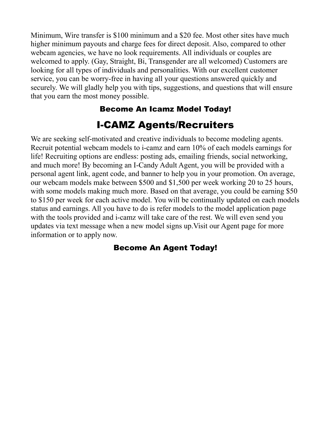Minimum, Wire transfer is \$100 minimum and a \$20 fee. Most other sites have much higher minimum payouts and charge fees for direct deposit. Also, compared to other webcam agencies, we have no look requirements. All individuals or couples are welcomed to apply. (Gay, Straight, Bi, Transgender are all welcomed) Customers are looking for all types of individuals and personalities. With our excellent customer service, you can be worry-free in having all your questions answered quickly and securely. We will gladly help you with tips, suggestions, and questions that will ensure that you earn the most money possible.

### [Become An Icamz Model Today!](https://www.i-camz.com/agent/Model.php?agent=10210)

## I-CAMZ Agents/Recruiters

We are seeking self-motivated and creative individuals to become modeling agents. Recruit potential webcam models to i-camz and earn 10% of each models earnings for life! Recruiting options are endless: posting ads, emailing friends, social networking, and much more! By becoming an I-Candy Adult Agent, you will be provided with a personal agent link, agent code, and banner to help you in your promotion. On average, our webcam models make between \$500 and \$1,500 per week working 20 to 25 hours, with some models making much more. Based on that average, you could be earning \$50 to \$150 per week for each active model. You will be continually updated on each models status and earnings. All you have to do is refer models to the model application page with the tools provided and i-camz will take care of the rest. We will even send you updates via text message when a new model signs up.Visit our Agent page for more information or to apply now.

#### [Become An Agent Today!](http://www.i-camz.com/agent/agent-sign-up.php?agent=10210)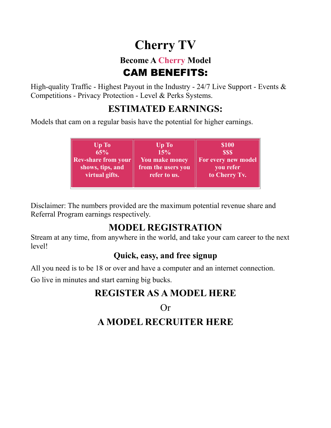## <span id="page-36-0"></span>**Cherry TV**

## **Become A Cherry Model** CAM BENEFITS:

High-quality Traffic - Highest Payout in the Industry -  $24/7$  Live Support - Events  $\&$ Competitions - Privacy Protection - Level & Perks Systems.

## **ESTIMATED EARNINGS:**

Models that cam on a regular basis have the potential for higher earnings.

| Up To               | Up To                 | <b>\$100</b>        |
|---------------------|-----------------------|---------------------|
| 65%                 | 15%                   | <b>SSS</b>          |
| Rev-share from your | <b>You make money</b> | For every new model |
| shows, tips, and    | from the users you    | you refer           |
| virtual gifts.      | refer to us.          | to Cherry Tv.       |
|                     |                       |                     |

Disclaimer: The numbers provided are the maximum potential revenue share and Referral Program earnings respectively.

## **MODEL REGISTRATION**

Stream at any time, from anywhere in the world, and take your cam career to the next level!

### **Quick, easy, and free signup**

All you need is to be 18 or over and have a computer and an internet connection.

Go live in minutes and start earning big bucks.

## **[REGISTER AS A MODEL HERE](https://www.targetingpartner.com/TBC1SP/3TJ7N7/?uid=68&creative_id=600)**

Or **[A MODEL RECRUITER HERE](https://partners.cherrycash.com/affiliate/signup/?p=2JJQMLF1)**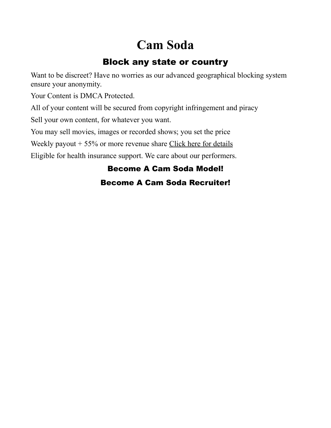## <span id="page-37-0"></span>**Cam Soda**

## Block any state or country

Want to be discreet? Have no worries as our advanced geographical blocking system ensure your anonymity.

Your Content is DMCA Protected.

All of your content will be secured from copyright infringement and piracy

Sell your own content, for whatever you want.

You may sell movies, images or recorded shows; you set the price

Weekly payout  $+ 55\%$  or more revenue share [Click here for details](https://www.camsoda.com/models?id=xxgoxx)

Eligible for health insurance support. We care about our performers.

#### [Become A Cam Soda Model!](https://www.camsoda.com/models?id=xxgoxx)

#### [Become A Cam Soda Recruiter!](https://partners.camsoda.com/signup?id=xxgoxx)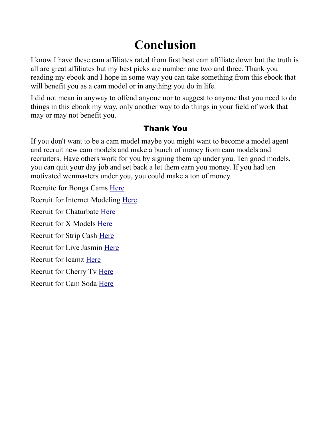## <span id="page-38-0"></span>**Conclusion**

I know I have these cam affiliates rated from first best cam affiliate down but the truth is all are great affiliates but my best picks are number one two and three. Thank you reading my ebook and I hope in some way you can take something from this ebook that will benefit you as a cam model or in anything you do in life.

I did not mean in anyway to offend anyone nor to suggest to anyone that you need to do things in this ebook my way, only another way to do things in your field of work that may or may not benefit you.

#### Thank You

If you don't want to be a cam model maybe you might want to become a model agent and recruit new cam models and make a bunch of money from cam models and recruiters. Have others work for you by signing them up under you. Ten good models, you can quit your day job and set back a let them earn you money. If you had ten motivated wenmasters under you, you could make a ton of money.

Recruite for Bonga Cams [Here](https://bongacash.com/ref?c=359899)

Recruit for Internet Modeling [Here](https://www.internetmodeling.com/144/become_an_agent.htm)

Recruit for Chaturbate [Here](https://chaturbate.com/in/?track=default&tour=07kX&campaign=lfuUw)

Recruit for X Models [Here](https://www.i-camz.com/agent/agent-sign-up.php?agent=10210)

Recruit for Strip Cash [Here](http://stripcash.com/sign-up/c44bf6da1b12d97ebfa20ffba7d3da0f3b29778b455e36285c1fd19f4ef5cb1a)

Recruit for Live Jasmin [Here](https://www.awempire.com/?referral_rs=john4953&psprogram=wmref&pstool=1_40327)

Recruit for Icamz [Here](http://www.i-camz.com/agent/agent-sign-up.php?agent=10210)

Recruit for Cherry Tv [Here](https://partners.cherrycash.com/affiliate/signup/?p=2JJQMLF1)

Recruit for Cam Soda [Here](https://partners.camsoda.com/signup?id=xxgoxx)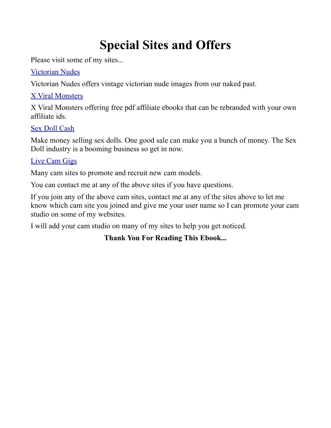## <span id="page-39-0"></span>**Special Sites and Offers**

Please visit some of my sites...

#### [Victorian Nudes](http://www.victoriannudes.com/)

Victorian Nudes offers vintage victorian nude images from our naked past.

#### [X Viral Monsters](http://www.xviralmonsters.com/)

X Viral Monsters offering free pdf affiliate ebooks that can be rebranded with your own affiliate ids.

#### [Sex Doll Cash](http://www.sexdollcash.net/)

Make money selling sex dolls. One good sale can make you a bunch of money. The Sex Doll industry is a booming business so get in now.

#### [Live Cam Gigs](http://www.livecamgigs.com/)

Many cam sites to promote and recruit new cam models.

You can contact me at any of the above sites if you have questions.

If you join any of the above cam sites, contact me at any of the sites above to let me know which cam site you joined and give me your user name so I can promote your cam studio on some of my websites.

I will add your cam studio on many of my sites to help you get noticed.

#### **Thank You For Reading This Ebook...**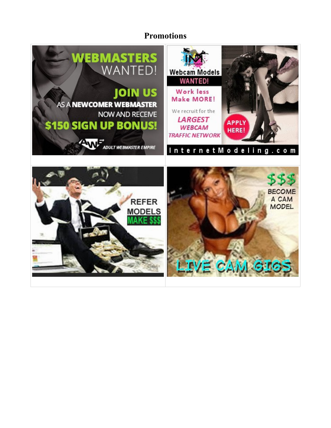#### **Promotions**

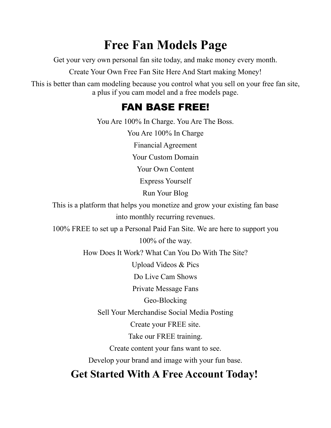## <span id="page-41-0"></span>**Free Fan Models Page**

Get your very own personal fan site today, and make money every month.

Create Your Own Free Fan Site Here And Start making Money!

This is better than cam modeling because you control what you sell on your free fan site, a plus if you cam model and a free models page.

## FAN BASE FREE!

You Are 100% In Charge. You Are The Boss.

You Are 100% In Charge

Financial Agreement

Your Custom Domain

Your Own Content

Express Yourself

Run Your Blog

This is a platform that helps you monetize and grow your existing fan base into monthly recurring revenues.

100% FREE to set up a Personal Paid Fan Site. We are here to support you 100% of the way.

How Does It Work? What Can You Do With The Site?

Upload Videos & Pics

Do Live Cam Shows

Private Message Fans

Geo-Blocking

Sell Your Merchandise Social Media Posting

Create your FREE site.

Take our FREE training.

Create content your fans want to see.

Develop your brand and image with your fun base.

## **[Get Started With A Free Account Today!](https://modelcentro.com/registration/?acode=YsNKzp78)**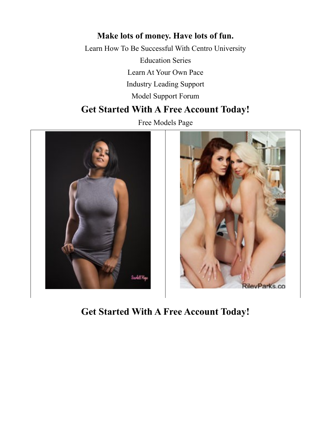#### **Make lots of money. Have lots of fun.**

Learn How To Be Successful With Centro University Education Series Learn At Your Own Pace Industry Leading Support Model Support Forum

#### **[Get Started With A Free Account Today!](https://modelcentro.com/registration/?acode=YsNKzp78)**

Free Models Page



**[Get Started With A Free Account Today!](https://modelcentro.com/registration/?acode=YsNKzp78)**